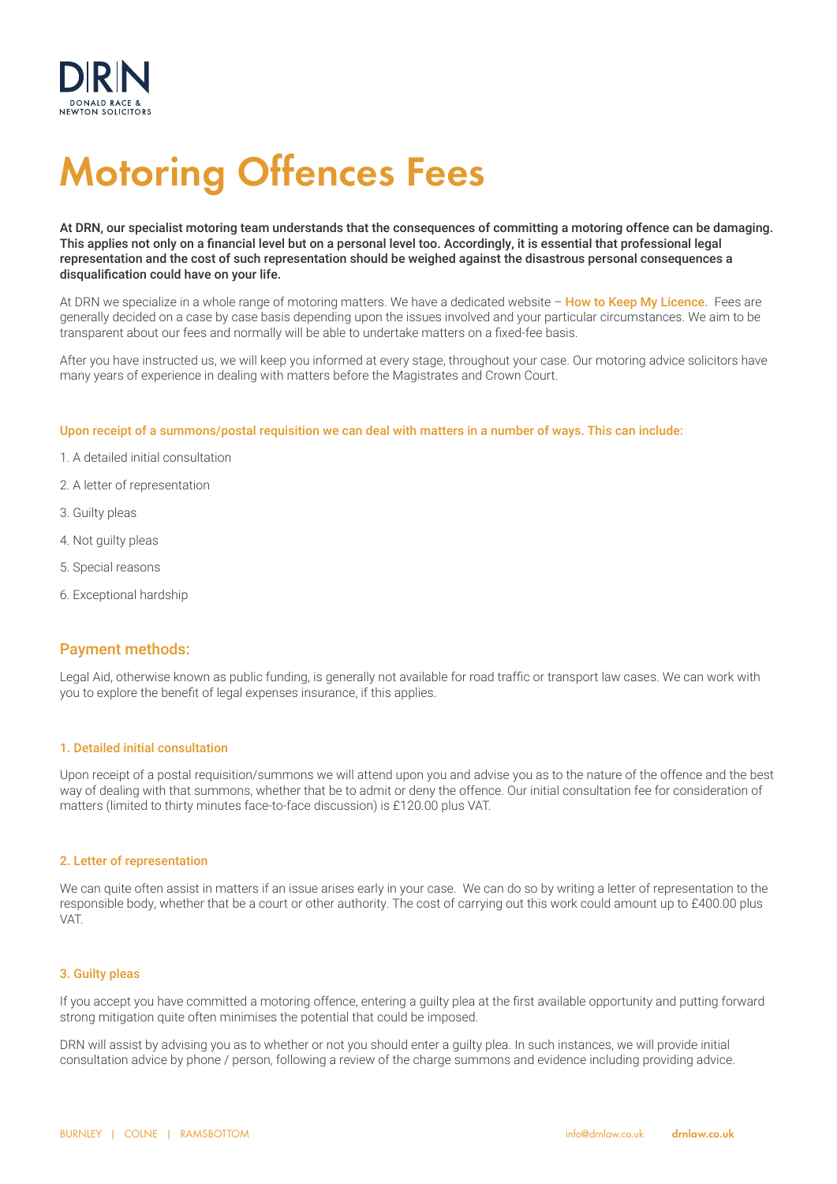

# Motoring Offences Fees

At DRN, our specialist motoring team understands that the consequences of committing a motoring offence can be damaging. This applies not only on a financial level but on a personal level too. Accordingly, it is essential that professional legal representation and the cost of such representation should be weighed against the disastrous personal consequences a disqualification could have on your life.

At DRN we specialize in a whole range of motoring matters. We have a dedicated website - [How to Keep My Licence.](https://howtokeepmylicence.co.uk/) Fees are generally decided on a case by case basis depending upon the issues involved and your particular circumstances. We aim to be transparent about our fees and normally will be able to undertake matters on a fixed-fee basis.

After you have instructed us, we will keep you informed at every stage, throughout your case. Our motoring advice solicitors have many years of experience in dealing with matters before the Magistrates and Crown Court.

Upon receipt of a summons/postal requisition we can deal with matters in a number of ways. This can include:

- 1. A detailed initial consultation
- 2. A letter of representation
- 3. Guilty pleas
- 4. Not guilty pleas
- 5. Special reasons
- 6. Exceptional hardship

# Payment methods:

Legal Aid, otherwise known as public funding, is generally not available for road traffic or transport law cases. We can work with you to explore the benefit of legal expenses insurance, if this applies.

# 1. Detailed initial consultation

Upon receipt of a postal requisition/summons we will attend upon you and advise you as to the nature of the offence and the best way of dealing with that summons, whether that be to admit or deny the offence. Our initial consultation fee for consideration of matters (limited to thirty minutes face-to-face discussion) is £120.00 plus VAT.

#### 2. Letter of representation

We can quite often assist in matters if an issue arises early in your case. We can do so by writing a letter of representation to the responsible body, whether that be a court or other authority. The cost of carrying out this work could amount up to £400.00 plus VAT.

#### 3. Guilty pleas

If you accept you have committed a motoring offence, entering a guilty plea at the first available opportunity and putting forward strong mitigation quite often minimises the potential that could be imposed.

DRN will assist by advising you as to whether or not you should enter a guilty plea. In such instances, we will provide initial consultation advice by phone / person, following a review of the charge summons and evidence including providing advice.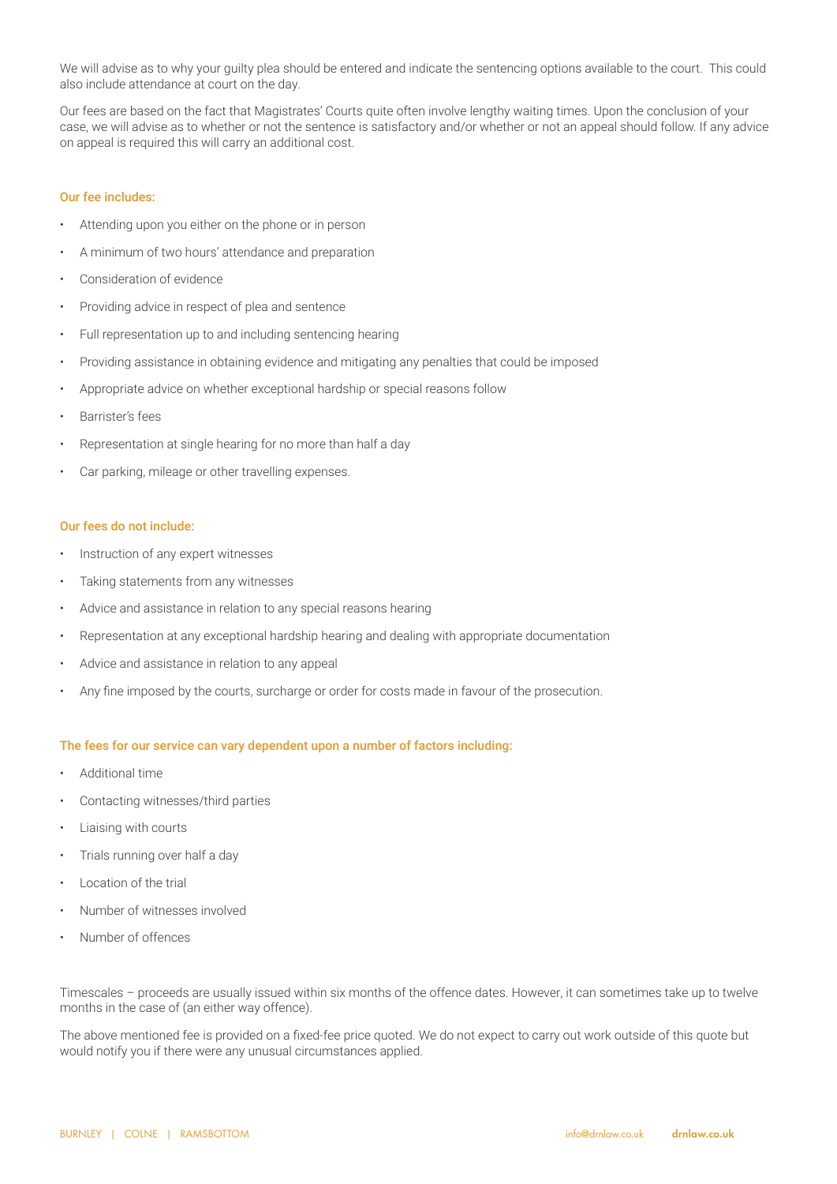We will advise as to why your guilty plea should be entered and indicate the sentencing options available to the court. This could also include attendance at court on the day.

Our fees are based on the fact that Magistrates' Courts quite often involve lengthy waiting times. Upon the conclusion of your case, we will advise as to whether or not the sentence is satisfactory and/or whether or not an appeal should follow. If any advice on appeal is required this will carry an additional cost.

# Our fee includes:

- Attending upon you either on the phone or in person
- A minimum of two hours' attendance and preparation
- Consideration of evidence
- Providing advice in respect of plea and sentence
- Full representation up to and including sentencing hearing
- Providing assistance in obtaining evidence and mitigating any penalties that could be imposed
- Appropriate advice on whether exceptional hardship or special reasons follow
- Barrister's fees
- Representation at single hearing for no more than half a day
- Car parking, mileage or other travelling expenses.

## Our fees do not include:

- Instruction of any expert witnesses
- Taking statements from any witnesses
- Advice and assistance in relation to any special reasons hearing
- Representation at any exceptional hardship hearing and dealing with appropriate documentation
- Advice and assistance in relation to any appeal
- Any fine imposed by the courts, surcharge or order for costs made in favour of the prosecution.

# The fees for our service can vary dependent upon a number of factors including:

- Additional time
- Contacting witnesses/third parties
- Liaising with courts
- Trials running over half a day
- Location of the trial
- Number of witnesses involved
- Number of offences

Timescales – proceeds are usually issued within six months of the offence dates. However, it can sometimes take up to twelve months in the case of (an either way offence).

The above mentioned fee is provided on a fixed-fee price quoted. We do not expect to carry out work outside of this quote but would notify you if there were any unusual circumstances applied.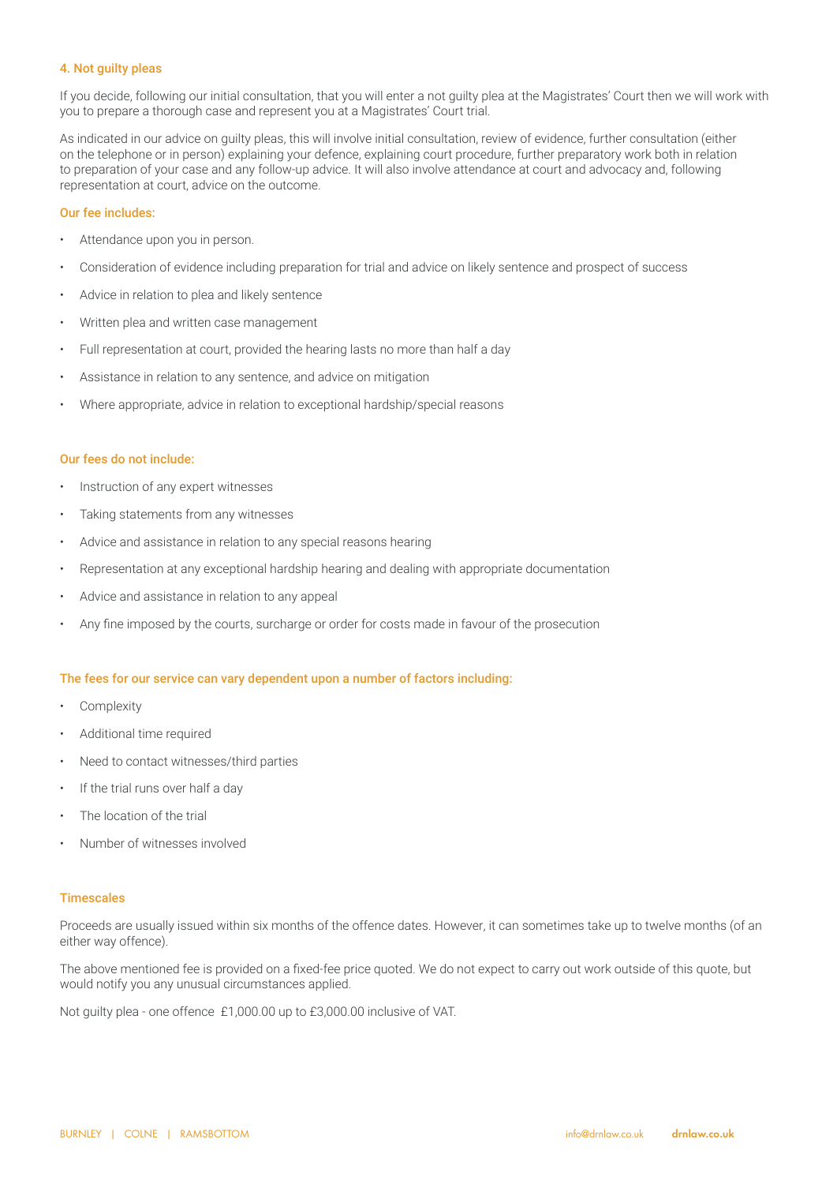# 4. Not guilty pleas

If you decide, following our initial consultation, that you will enter a not guilty plea at the Magistrates' Court then we will work with you to prepare a thorough case and represent you at a Magistrates' Court trial.

As indicated in our advice on guilty pleas, this will involve initial consultation, review of evidence, further consultation (either on the telephone or in person) explaining your defence, explaining court procedure, further preparatory work both in relation to preparation of your case and any follow-up advice. It will also involve attendance at court and advocacy and, following representation at court, advice on the outcome.

#### Our fee includes:

- Attendance upon you in person.
- Consideration of evidence including preparation for trial and advice on likely sentence and prospect of success
- Advice in relation to plea and likely sentence
- Written plea and written case management
- Full representation at court, provided the hearing lasts no more than half a day
- Assistance in relation to any sentence, and advice on mitigation
- Where appropriate, advice in relation to exceptional hardship/special reasons

# Our fees do not include:

- Instruction of any expert witnesses
- Taking statements from any witnesses
- Advice and assistance in relation to any special reasons hearing
- Representation at any exceptional hardship hearing and dealing with appropriate documentation
- Advice and assistance in relation to any appeal
- Any fine imposed by the courts, surcharge or order for costs made in favour of the prosecution

# The fees for our service can vary dependent upon a number of factors including:

- **Complexity**
- Additional time required
- Need to contact witnesses/third parties
- If the trial runs over half a day
- The location of the trial
- Number of witnesses involved

# Timescales

Proceeds are usually issued within six months of the offence dates. However, it can sometimes take up to twelve months (of an either way offence).

The above mentioned fee is provided on a fixed-fee price quoted. We do not expect to carry out work outside of this quote, but would notify you any unusual circumstances applied.

Not guilty plea - one offence £1,000.00 up to £3,000.00 inclusive of VAT.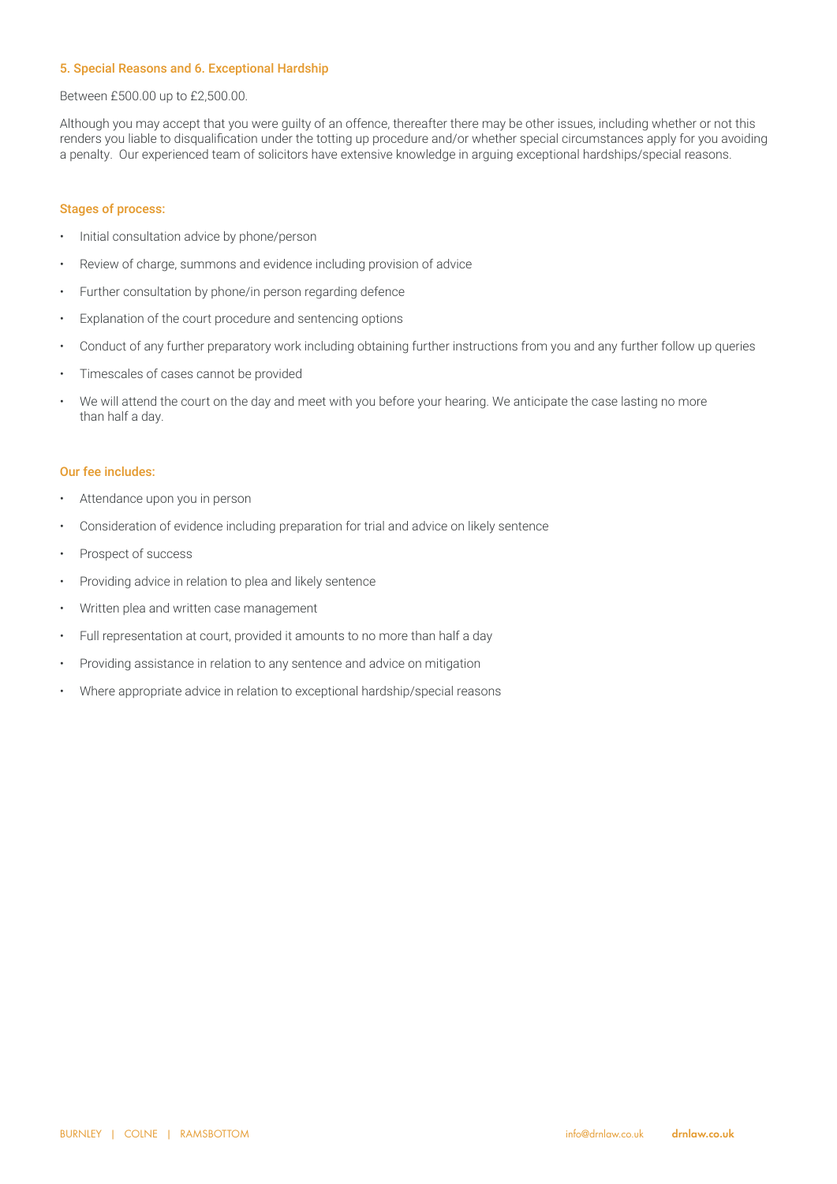# 5. Special Reasons and 6. Exceptional Hardship

#### Between £500.00 up to £2,500.00.

Although you may accept that you were guilty of an offence, thereafter there may be other issues, including whether or not this renders you liable to disqualification under the totting up procedure and/or whether special circumstances apply for you avoiding a penalty. Our experienced team of solicitors have extensive knowledge in arguing exceptional hardships/special reasons.

# Stages of process:

- Initial consultation advice by phone/person
- Review of charge, summons and evidence including provision of advice
- Further consultation by phone/in person regarding defence
- Explanation of the court procedure and sentencing options
- Conduct of any further preparatory work including obtaining further instructions from you and any further follow up queries
- Timescales of cases cannot be provided
- We will attend the court on the day and meet with you before your hearing. We anticipate the case lasting no more than half a day.

# Our fee includes:

- Attendance upon you in person
- Consideration of evidence including preparation for trial and advice on likely sentence
- Prospect of success
- Providing advice in relation to plea and likely sentence
- Written plea and written case management
- Full representation at court, provided it amounts to no more than half a day
- Providing assistance in relation to any sentence and advice on mitigation
- Where appropriate advice in relation to exceptional hardship/special reasons